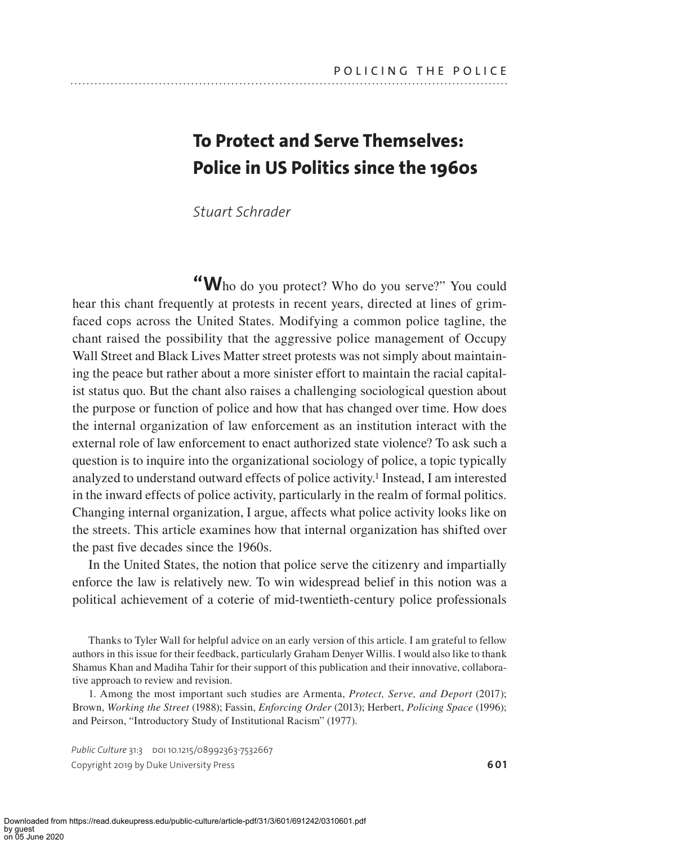# **To Protect and Serve Themselves: Police in US Politics since the 1960s**

*Stuart Schrader*

**"W**ho do you protect? Who do you serve?" You could hear this chant frequently at protests in recent years, directed at lines of grimfaced cops across the United States. Modifying a common police tagline, the chant raised the possibility that the aggressive police management of Occupy Wall Street and Black Lives Matter street protests was not simply about maintaining the peace but rather about a more sinister effort to maintain the racial capitalist status quo. But the chant also raises a challenging sociological question about the purpose or function of police and how that has changed over time. How does the internal organization of law enforcement as an institution interact with the external role of law enforcement to enact authorized state violence? To ask such a question is to inquire into the organizational sociology of police, a topic typically analyzed to understand outward effects of police activity.1 Instead, I am interested in the inward effects of police activity, particularly in the realm of formal politics. Changing internal organization, I argue, affects what police activity looks like on the streets. This article examines how that internal organization has shifted over the past five decades since the 1960s.

In the United States, the notion that police serve the citizenry and impartially enforce the law is relatively new. To win widespread belief in this notion was a political achievement of a coterie of mid-twentieth-century police professionals

Thanks to Tyler Wall for helpful advice on an early version of this article. I am grateful to fellow authors in this issue for their feedback, particularly Graham Denyer Willis. I would also like to thank Shamus Khan and Madiha Tahir for their support of this publication and their innovative, collaborative approach to review and revision.

1. Among the most important such studies are Armenta, *Protect, Serve, and Deport* (2017); Brown, *Working the Street* (1988); Fassin, *Enforcing Order* (2013); Herbert, *Policing Space* (1996); and Peirson, "Introductory Study of Institutional Racism" (1977).

Public Culture 31:3 DOI 10.1215/08992363-7532667 Copyright 2019 by Duke University Press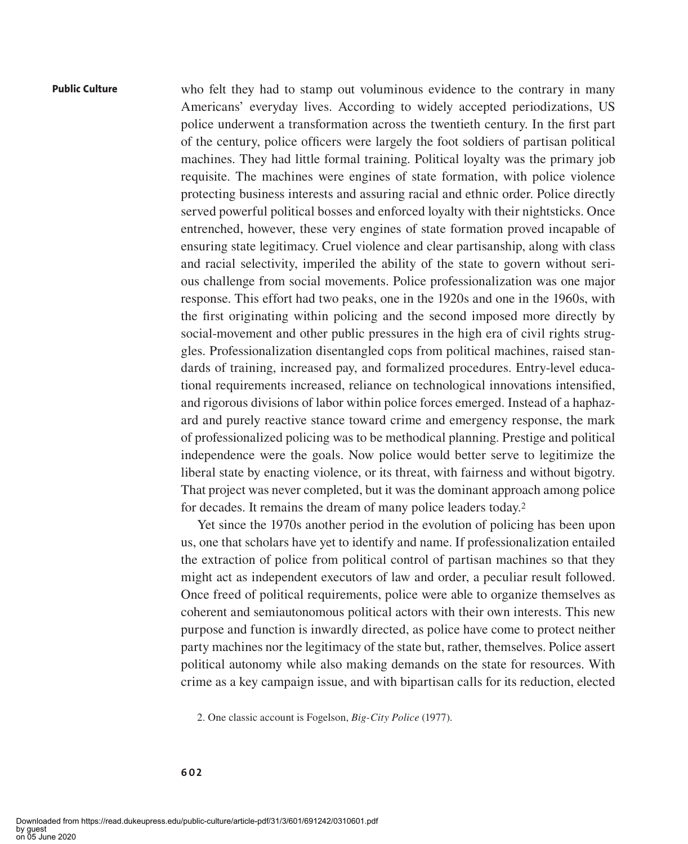who felt they had to stamp out voluminous evidence to the contrary in many Americans' everyday lives. According to widely accepted periodizations, US police underwent a transformation across the twentieth century. In the first part of the century, police officers were largely the foot soldiers of partisan political machines. They had little formal training. Political loyalty was the primary job requisite. The machines were engines of state formation, with police violence protecting business interests and assuring racial and ethnic order. Police directly served powerful political bosses and enforced loyalty with their nightsticks. Once entrenched, however, these very engines of state formation proved incapable of ensuring state legitimacy. Cruel violence and clear partisanship, along with class and racial selectivity, imperiled the ability of the state to govern without serious challenge from social movements. Police professionalization was one major response. This effort had two peaks, one in the 1920s and one in the 1960s, with the first originating within policing and the second imposed more directly by social-movement and other public pressures in the high era of civil rights struggles. Professionalization disentangled cops from political machines, raised standards of training, increased pay, and formalized procedures. Entry-level educational requirements increased, reliance on technological innovations intensified, and rigorous divisions of labor within police forces emerged. Instead of a haphazard and purely reactive stance toward crime and emergency response, the mark of professionalized policing was to be methodical planning. Prestige and political independence were the goals. Now police would better serve to legitimize the liberal state by enacting violence, or its threat, with fairness and without bigotry. That project was never completed, but it was the dominant approach among police for decades. It remains the dream of many police leaders today.2

Yet since the 1970s another period in the evolution of policing has been upon us, one that scholars have yet to identify and name. If professionalization entailed the extraction of police from political control of partisan machines so that they might act as independent executors of law and order, a peculiar result followed. Once freed of political requirements, police were able to organize themselves as coherent and semiautonomous political actors with their own interests. This new purpose and function is inwardly directed, as police have come to protect neither party machines nor the legitimacy of the state but, rather, themselves. Police assert political autonomy while also making demands on the state for resources. With crime as a key campaign issue, and with bipartisan calls for its reduction, elected

2. One classic account is Fogelson, *Big-City Police* (1977).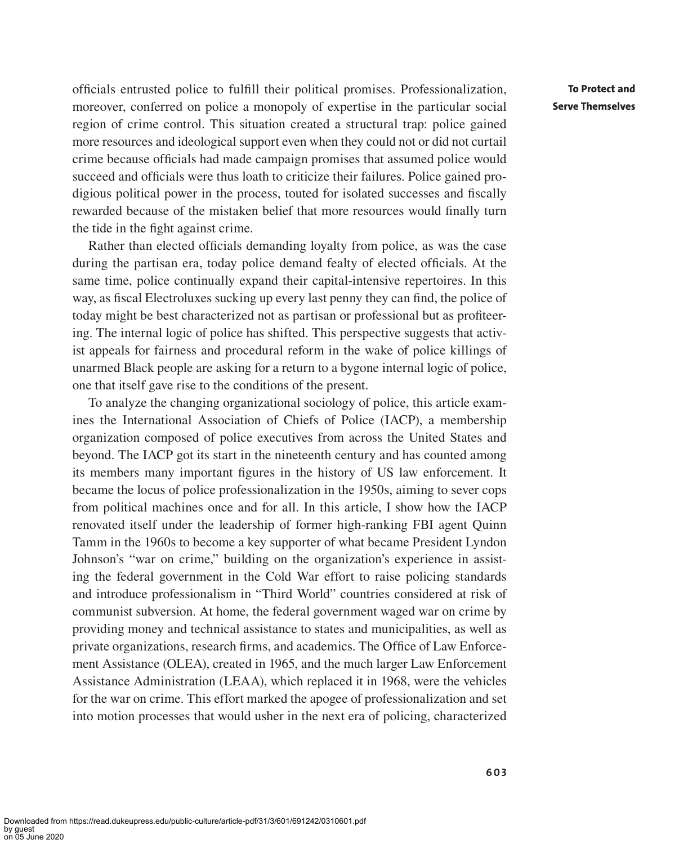officials entrusted police to fulfill their political promises. Professionalization, moreover, conferred on police a monopoly of expertise in the particular social region of crime control. This situation created a structural trap: police gained more resources and ideological support even when they could not or did not curtail crime because officials had made campaign promises that assumed police would succeed and officials were thus loath to criticize their failures. Police gained prodigious political power in the process, touted for isolated successes and fiscally rewarded because of the mistaken belief that more resources would finally turn the tide in the fight against crime.

Rather than elected officials demanding loyalty from police, as was the case during the partisan era, today police demand fealty of elected officials. At the same time, police continually expand their capital-intensive repertoires. In this way, as fiscal Electroluxes sucking up every last penny they can find, the police of today might be best characterized not as partisan or professional but as profiteering. The internal logic of police has shifted. This perspective suggests that activist appeals for fairness and procedural reform in the wake of police killings of unarmed Black people are asking for a return to a bygone internal logic of police, one that itself gave rise to the conditions of the present.

To analyze the changing organizational sociology of police, this article examines the International Association of Chiefs of Police (IACP), a membership organization composed of police executives from across the United States and beyond. The IACP got its start in the nineteenth century and has counted among its members many important figures in the history of US law enforcement. It became the locus of police professionalization in the 1950s, aiming to sever cops from political machines once and for all. In this article, I show how the IACP renovated itself under the leadership of former high-ranking FBI agent Quinn Tamm in the 1960s to become a key supporter of what became President Lyndon Johnson's "war on crime," building on the organization's experience in assisting the federal government in the Cold War effort to raise policing standards and introduce professionalism in "Third World" countries considered at risk of communist subversion. At home, the federal government waged war on crime by providing money and technical assistance to states and municipalities, as well as private organizations, research firms, and academics. The Office of Law Enforcement Assistance (OLEA), created in 1965, and the much larger Law Enforcement Assistance Administration (LEAA), which replaced it in 1968, were the vehicles for the war on crime. This effort marked the apogee of professionalization and set into motion processes that would usher in the next era of policing, characterized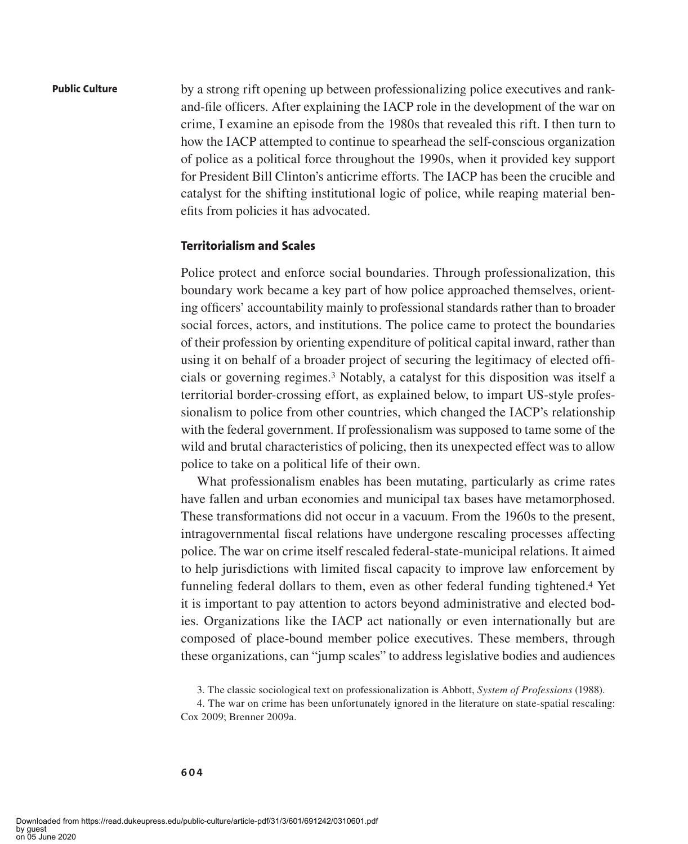by a strong rift opening up between professionalizing police executives and rankand-file officers. After explaining the IACP role in the development of the war on crime, I examine an episode from the 1980s that revealed this rift. I then turn to how the IACP attempted to continue to spearhead the self-conscious organization of police as a political force throughout the 1990s, when it provided key support for President Bill Clinton's anticrime efforts. The IACP has been the crucible and catalyst for the shifting institutional logic of police, while reaping material benefits from policies it has advocated.

### **Territorialism and Scales**

Police protect and enforce social boundaries. Through professionalization, this boundary work became a key part of how police approached themselves, orienting officers' accountability mainly to professional standards rather than to broader social forces, actors, and institutions. The police came to protect the boundaries of their profession by orienting expenditure of political capital inward, rather than using it on behalf of a broader project of securing the legitimacy of elected officials or governing regimes.3 Notably, a catalyst for this disposition was itself a territorial border-crossing effort, as explained below, to impart US-style professionalism to police from other countries, which changed the IACP's relationship with the federal government. If professionalism was supposed to tame some of the wild and brutal characteristics of policing, then its unexpected effect was to allow police to take on a political life of their own.

What professionalism enables has been mutating, particularly as crime rates have fallen and urban economies and municipal tax bases have metamorphosed. These transformations did not occur in a vacuum. From the 1960s to the present, intragovernmental fiscal relations have undergone rescaling processes affecting police. The war on crime itself rescaled federal-state-municipal relations. It aimed to help jurisdictions with limited fiscal capacity to improve law enforcement by funneling federal dollars to them, even as other federal funding tightened.4 Yet it is important to pay attention to actors beyond administrative and elected bodies. Organizations like the IACP act nationally or even internationally but are composed of place-bound member police executives. These members, through these organizations, can "jump scales" to address legislative bodies and audiences

<sup>3.</sup> The classic sociological text on professionalization is Abbott, *System of Professions* (1988).

<sup>4.</sup> The war on crime has been unfortunately ignored in the literature on state-spatial rescaling: Cox 2009; Brenner 2009a.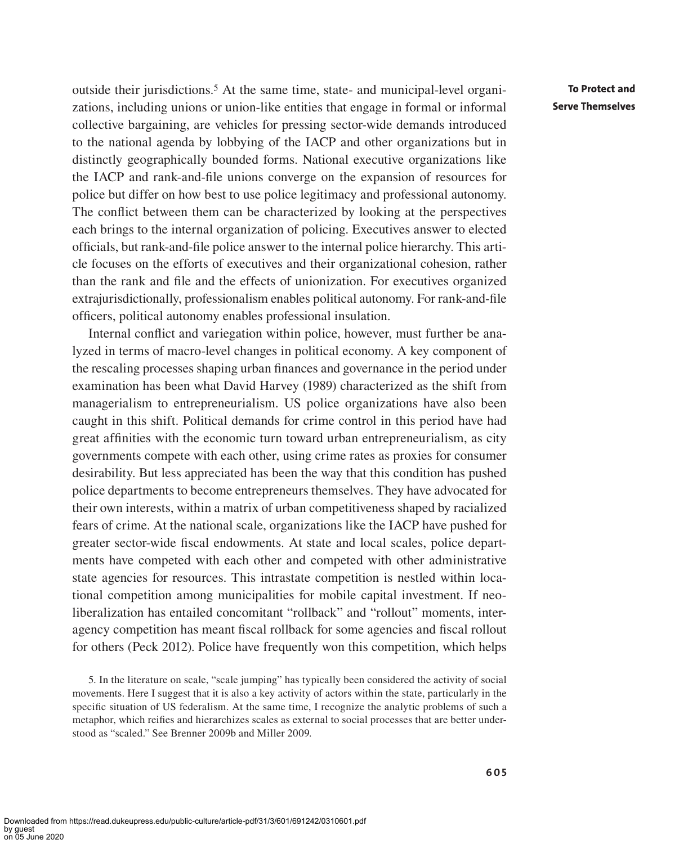outside their jurisdictions.5 At the same time, state- and municipal-level organizations, including unions or union-like entities that engage in formal or informal collective bargaining, are vehicles for pressing sector-wide demands introduced to the national agenda by lobbying of the IACP and other organizations but in distinctly geographically bounded forms. National executive organizations like the IACP and rank-and-file unions converge on the expansion of resources for police but differ on how best to use police legitimacy and professional autonomy. The conflict between them can be characterized by looking at the perspectives each brings to the internal organization of policing. Executives answer to elected officials, but rank-and-file police answer to the internal police hierarchy. This article focuses on the efforts of executives and their organizational cohesion, rather than the rank and file and the effects of unionization. For executives organized extrajurisdictionally, professionalism enables political autonomy. For rank-and-file officers, political autonomy enables professional insulation.

Internal conflict and variegation within police, however, must further be analyzed in terms of macro-level changes in political economy. A key component of the rescaling processes shaping urban finances and governance in the period under examination has been what David Harvey (1989) characterized as the shift from managerialism to entrepreneurialism. US police organizations have also been caught in this shift. Political demands for crime control in this period have had great affinities with the economic turn toward urban entrepreneurialism, as city governments compete with each other, using crime rates as proxies for consumer desirability. But less appreciated has been the way that this condition has pushed police departments to become entrepreneurs themselves. They have advocated for their own interests, within a matrix of urban competitiveness shaped by racialized fears of crime. At the national scale, organizations like the IACP have pushed for greater sector-wide fiscal endowments. At state and local scales, police departments have competed with each other and competed with other administrative state agencies for resources. This intrastate competition is nestled within locational competition among municipalities for mobile capital investment. If neoliberalization has entailed concomitant "rollback" and "rollout" moments, interagency competition has meant fiscal rollback for some agencies and fiscal rollout for others (Peck 2012). Police have frequently won this competition, which helps

5. In the literature on scale, "scale jumping" has typically been considered the activity of social movements. Here I suggest that it is also a key activity of actors within the state, particularly in the specific situation of US federalism. At the same time, I recognize the analytic problems of such a metaphor, which reifies and hierarchizes scales as external to social processes that are better understood as "scaled." See Brenner 2009b and Miller 2009.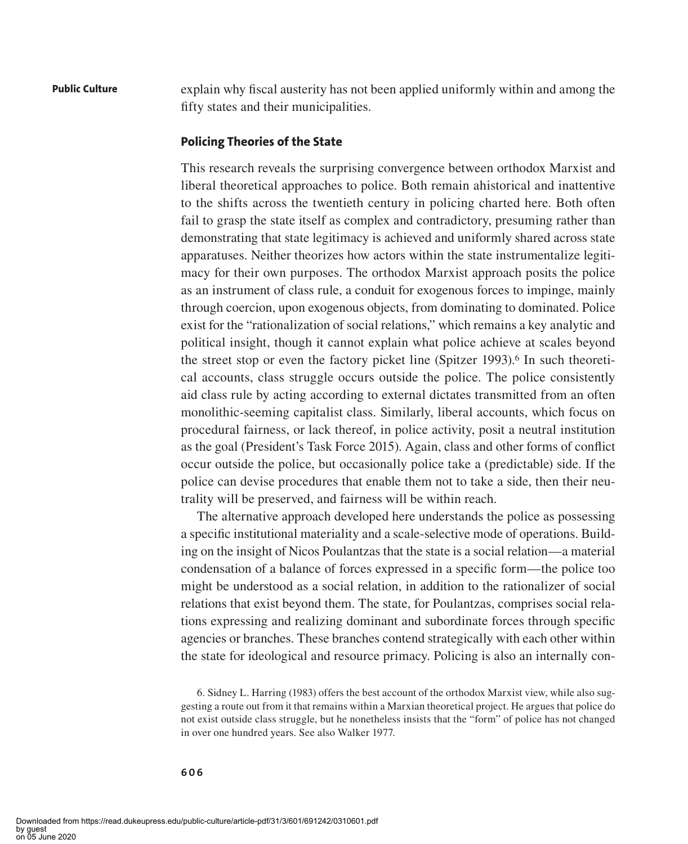explain why fiscal austerity has not been applied uniformly within and among the fifty states and their municipalities.

## **Policing Theories of the State**

This research reveals the surprising convergence between orthodox Marxist and liberal theoretical approaches to police. Both remain ahistorical and inattentive to the shifts across the twentieth century in policing charted here. Both often fail to grasp the state itself as complex and contradictory, presuming rather than demonstrating that state legitimacy is achieved and uniformly shared across state apparatuses. Neither theorizes how actors within the state instrumentalize legitimacy for their own purposes. The orthodox Marxist approach posits the police as an instrument of class rule, a conduit for exogenous forces to impinge, mainly through coercion, upon exogenous objects, from dominating to dominated. Police exist for the "rationalization of social relations," which remains a key analytic and political insight, though it cannot explain what police achieve at scales beyond the street stop or even the factory picket line (Spitzer 1993).6 In such theoretical accounts, class struggle occurs outside the police. The police consistently aid class rule by acting according to external dictates transmitted from an often monolithic-seeming capitalist class. Similarly, liberal accounts, which focus on procedural fairness, or lack thereof, in police activity, posit a neutral institution as the goal (President's Task Force 2015). Again, class and other forms of conflict occur outside the police, but occasionally police take a (predictable) side. If the police can devise procedures that enable them not to take a side, then their neutrality will be preserved, and fairness will be within reach.

The alternative approach developed here understands the police as possessing a specific institutional materiality and a scale-selective mode of operations. Building on the insight of Nicos Poulantzas that the state is a social relation—a material condensation of a balance of forces expressed in a specific form—the police too might be understood as a social relation, in addition to the rationalizer of social relations that exist beyond them. The state, for Poulantzas, comprises social relations expressing and realizing dominant and subordinate forces through specific agencies or branches. These branches contend strategically with each other within the state for ideological and resource primacy. Policing is also an internally con-

6. Sidney L. Harring (1983) offers the best account of the orthodox Marxist view, while also suggesting a route out from it that remains within a Marxian theoretical project. He argues that police do not exist outside class struggle, but he nonetheless insists that the "form" of police has not changed in over one hundred years. See also Walker 1977.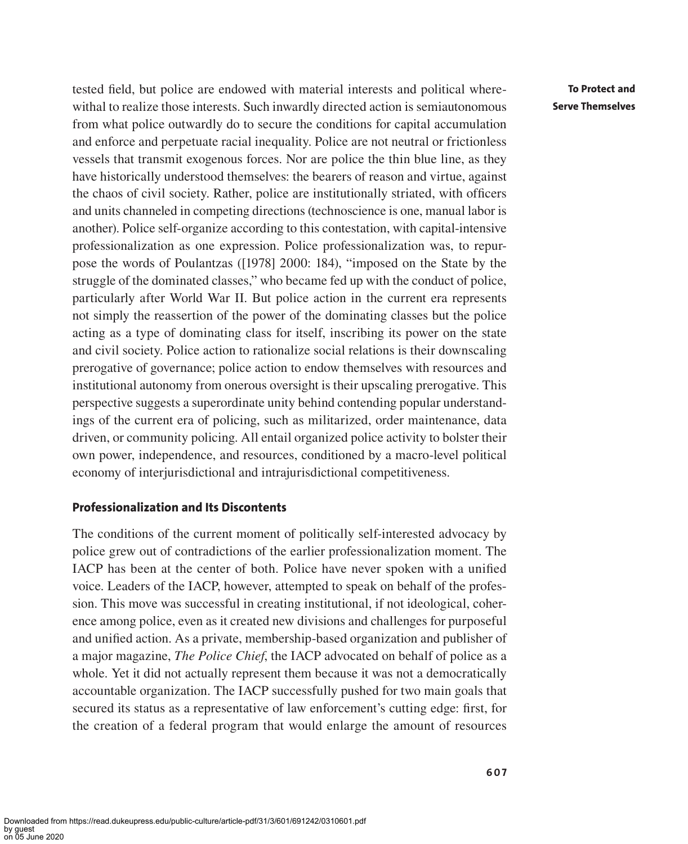tested field, but police are endowed with material interests and political wherewithal to realize those interests. Such inwardly directed action is semiautonomous from what police outwardly do to secure the conditions for capital accumulation and enforce and perpetuate racial inequality. Police are not neutral or frictionless vessels that transmit exogenous forces. Nor are police the thin blue line, as they have historically understood themselves: the bearers of reason and virtue, against the chaos of civil society. Rather, police are institutionally striated, with officers and units channeled in competing directions (technoscience is one, manual labor is another). Police self-organize according to this contestation, with capital-intensive professionalization as one expression. Police professionalization was, to repurpose the words of Poulantzas ([1978] 2000: 184), "imposed on the State by the struggle of the dominated classes," who became fed up with the conduct of police, particularly after World War II. But police action in the current era represents not simply the reassertion of the power of the dominating classes but the police acting as a type of dominating class for itself, inscribing its power on the state and civil society. Police action to rationalize social relations is their downscaling prerogative of governance; police action to endow themselves with resources and institutional autonomy from onerous oversight is their upscaling prerogative. This perspective suggests a superordinate unity behind contending popular understandings of the current era of policing, such as militarized, order maintenance, data driven, or community policing. All entail organized police activity to bolster their own power, independence, and resources, conditioned by a macro-level political economy of interjurisdictional and intrajurisdictional competitiveness.

## **Professionalization and Its Discontents**

The conditions of the current moment of politically self-interested advocacy by police grew out of contradictions of the earlier professionalization moment. The IACP has been at the center of both. Police have never spoken with a unified voice. Leaders of the IACP, however, attempted to speak on behalf of the profession. This move was successful in creating institutional, if not ideological, coherence among police, even as it created new divisions and challenges for purposeful and unified action. As a private, membership-based organization and publisher of a major magazine, *The Police Chief*, the IACP advocated on behalf of police as a whole. Yet it did not actually represent them because it was not a democratically accountable organization. The IACP successfully pushed for two main goals that secured its status as a representative of law enforcement's cutting edge: first, for the creation of a federal program that would enlarge the amount of resources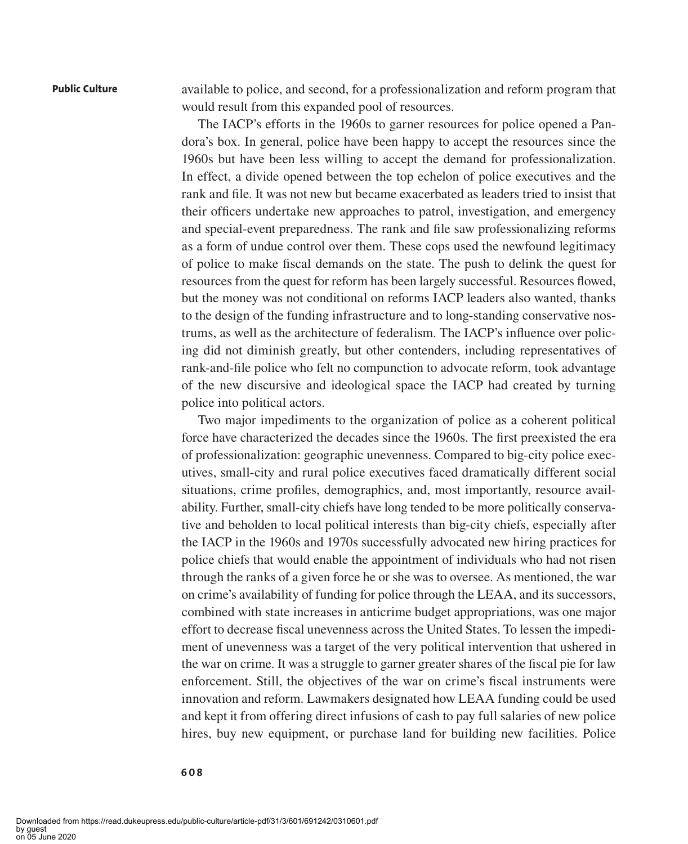available to police, and second, for a professionalization and reform program that would result from this expanded pool of resources.

The IACP's efforts in the 1960s to garner resources for police opened a Pandora's box. In general, police have been happy to accept the resources since the 1960s but have been less willing to accept the demand for professionalization. In effect, a divide opened between the top echelon of police executives and the rank and file. It was not new but became exacerbated as leaders tried to insist that their officers undertake new approaches to patrol, investigation, and emergency and special-event preparedness. The rank and file saw professionalizing reforms as a form of undue control over them. These cops used the newfound legitimacy of police to make fiscal demands on the state. The push to delink the quest for resources from the quest for reform has been largely successful. Resources flowed, but the money was not conditional on reforms IACP leaders also wanted, thanks to the design of the funding infrastructure and to long-standing conservative nostrums, as well as the architecture of federalism. The IACP's influence over policing did not diminish greatly, but other contenders, including representatives of rank-and-file police who felt no compunction to advocate reform, took advantage of the new discursive and ideological space the IACP had created by turning police into political actors.

Two major impediments to the organization of police as a coherent political force have characterized the decades since the 1960s. The first preexisted the era of professionalization: geographic unevenness. Compared to big-city police executives, small-city and rural police executives faced dramatically different social situations, crime profiles, demographics, and, most importantly, resource availability. Further, small-city chiefs have long tended to be more politically conservative and beholden to local political interests than big-city chiefs, especially after the IACP in the 1960s and 1970s successfully advocated new hiring practices for police chiefs that would enable the appointment of individuals who had not risen through the ranks of a given force he or she was to oversee. As mentioned, the war on crime's availability of funding for police through the LEAA, and its successors, combined with state increases in anticrime budget appropriations, was one major effort to decrease fiscal unevenness across the United States. To lessen the impediment of unevenness was a target of the very political intervention that ushered in the war on crime. It was a struggle to garner greater shares of the fiscal pie for law enforcement. Still, the objectives of the war on crime's fiscal instruments were innovation and reform. Lawmakers designated how LEAA funding could be used and kept it from offering direct infusions of cash to pay full salaries of new police hires, buy new equipment, or purchase land for building new facilities. Police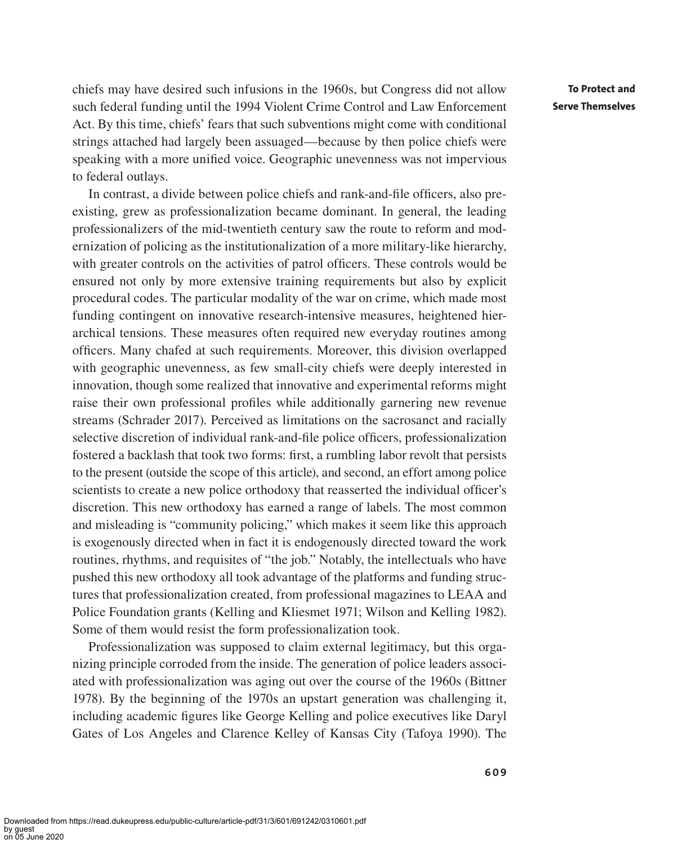chiefs may have desired such infusions in the 1960s, but Congress did not allow such federal funding until the 1994 Violent Crime Control and Law Enforcement Act. By this time, chiefs' fears that such subventions might come with conditional strings attached had largely been assuaged—because by then police chiefs were speaking with a more unified voice. Geographic unevenness was not impervious to federal outlays.

In contrast, a divide between police chiefs and rank-and-file officers, also preexisting, grew as professionalization became dominant. In general, the leading professionalizers of the mid-twentieth century saw the route to reform and modernization of policing as the institutionalization of a more military-like hierarchy, with greater controls on the activities of patrol officers. These controls would be ensured not only by more extensive training requirements but also by explicit procedural codes. The particular modality of the war on crime, which made most funding contingent on innovative research-intensive measures, heightened hierarchical tensions. These measures often required new everyday routines among officers. Many chafed at such requirements. Moreover, this division overlapped with geographic unevenness, as few small-city chiefs were deeply interested in innovation, though some realized that innovative and experimental reforms might raise their own professional profiles while additionally garnering new revenue streams (Schrader 2017). Perceived as limitations on the sacrosanct and racially selective discretion of individual rank-and-file police officers, professionalization fostered a backlash that took two forms: first, a rumbling labor revolt that persists to the present (outside the scope of this article), and second, an effort among police scientists to create a new police orthodoxy that reasserted the individual officer's discretion. This new orthodoxy has earned a range of labels. The most common and misleading is "community policing," which makes it seem like this approach is exogenously directed when in fact it is endogenously directed toward the work routines, rhythms, and requisites of "the job." Notably, the intellectuals who have pushed this new orthodoxy all took advantage of the platforms and funding structures that professionalization created, from professional magazines to LEAA and Police Foundation grants (Kelling and Kliesmet 1971; Wilson and Kelling 1982). Some of them would resist the form professionalization took.

Professionalization was supposed to claim external legitimacy, but this organizing principle corroded from the inside. The generation of police leaders associated with professionalization was aging out over the course of the 1960s (Bittner 1978). By the beginning of the 1970s an upstart generation was challenging it, including academic figures like George Kelling and police executives like Daryl Gates of Los Angeles and Clarence Kelley of Kansas City (Tafoya 1990). The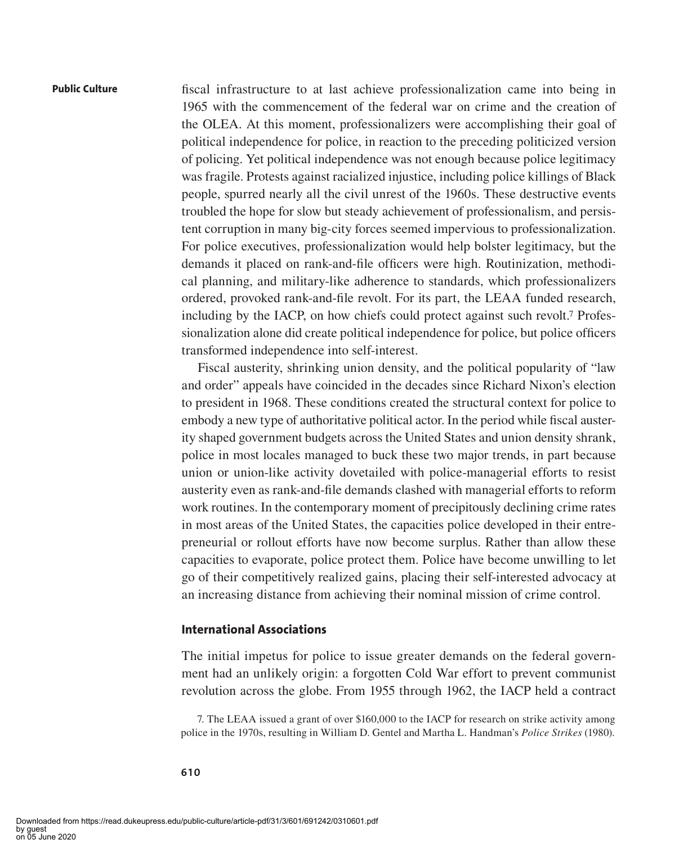fiscal infrastructure to at last achieve professionalization came into being in 1965 with the commencement of the federal war on crime and the creation of the OLEA. At this moment, professionalizers were accomplishing their goal of political independence for police, in reaction to the preceding politicized version of policing. Yet political independence was not enough because police legitimacy was fragile. Protests against racialized injustice, including police killings of Black people, spurred nearly all the civil unrest of the 1960s. These destructive events troubled the hope for slow but steady achievement of professionalism, and persistent corruption in many big-city forces seemed impervious to professionalization. For police executives, professionalization would help bolster legitimacy, but the demands it placed on rank-and-file officers were high. Routinization, methodical planning, and military-like adherence to standards, which professionalizers ordered, provoked rank-and-file revolt. For its part, the LEAA funded research, including by the IACP, on how chiefs could protect against such revolt.7 Professionalization alone did create political independence for police, but police officers transformed independence into self-interest.

Fiscal austerity, shrinking union density, and the political popularity of "law and order" appeals have coincided in the decades since Richard Nixon's election to president in 1968. These conditions created the structural context for police to embody a new type of authoritative political actor. In the period while fiscal austerity shaped government budgets across the United States and union density shrank, police in most locales managed to buck these two major trends, in part because union or union-like activity dovetailed with police-managerial efforts to resist austerity even as rank-and-file demands clashed with managerial efforts to reform work routines. In the contemporary moment of precipitously declining crime rates in most areas of the United States, the capacities police developed in their entrepreneurial or rollout efforts have now become surplus. Rather than allow these capacities to evaporate, police protect them. Police have become unwilling to let go of their competitively realized gains, placing their self-interested advocacy at an increasing distance from achieving their nominal mission of crime control.

## **International Associations**

The initial impetus for police to issue greater demands on the federal government had an unlikely origin: a forgotten Cold War effort to prevent communist revolution across the globe. From 1955 through 1962, the IACP held a contract

7. The LEAA issued a grant of over \$160,000 to the IACP for research on strike activity among police in the 1970s, resulting in William D. Gentel and Martha L. Handman's *Police Strikes* (1980).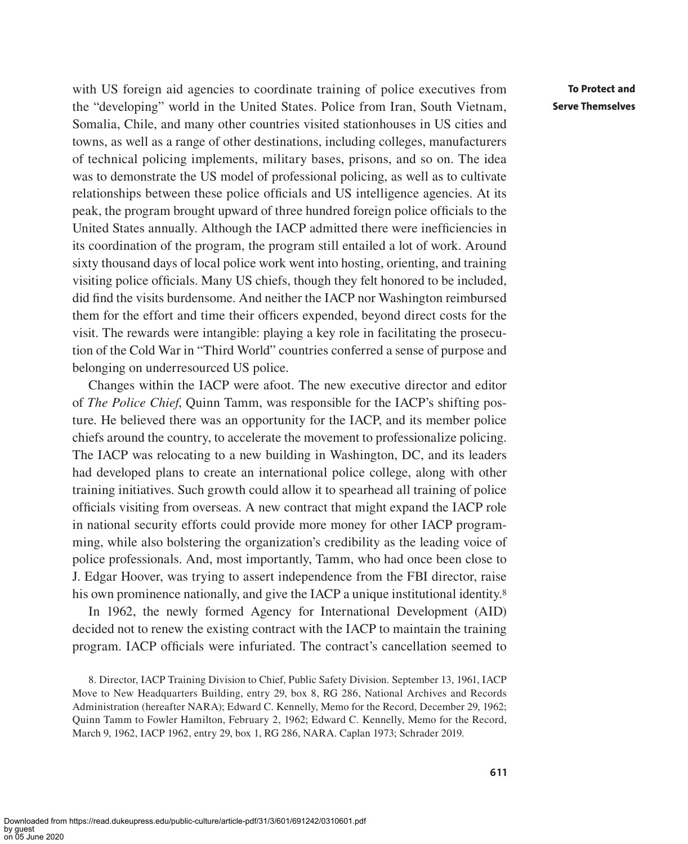with US foreign aid agencies to coordinate training of police executives from the "developing" world in the United States. Police from Iran, South Vietnam, Somalia, Chile, and many other countries visited stationhouses in US cities and towns, as well as a range of other destinations, including colleges, manufacturers of technical policing implements, military bases, prisons, and so on. The idea was to demonstrate the US model of professional policing, as well as to cultivate relationships between these police officials and US intelligence agencies. At its peak, the program brought upward of three hundred foreign police officials to the United States annually. Although the IACP admitted there were inefficiencies in its coordination of the program, the program still entailed a lot of work. Around sixty thousand days of local police work went into hosting, orienting, and training visiting police officials. Many US chiefs, though they felt honored to be included, did find the visits burdensome. And neither the IACP nor Washington reimbursed them for the effort and time their officers expended, beyond direct costs for the visit. The rewards were intangible: playing a key role in facilitating the prosecution of the Cold War in "Third World" countries conferred a sense of purpose and belonging on underresourced US police.

Changes within the IACP were afoot. The new executive director and editor of *The Police Chief*, Quinn Tamm, was responsible for the IACP's shifting posture. He believed there was an opportunity for the IACP, and its member police chiefs around the country, to accelerate the movement to professionalize policing. The IACP was relocating to a new building in Washington, DC, and its leaders had developed plans to create an international police college, along with other training initiatives. Such growth could allow it to spearhead all training of police officials visiting from overseas. A new contract that might expand the IACP role in national security efforts could provide more money for other IACP programming, while also bolstering the organization's credibility as the leading voice of police professionals. And, most importantly, Tamm, who had once been close to J. Edgar Hoover, was trying to assert independence from the FBI director, raise his own prominence nationally, and give the IACP a unique institutional identity.<sup>8</sup>

In 1962, the newly formed Agency for International Development (AID) decided not to renew the existing contract with the IACP to maintain the training program. IACP officials were infuriated. The contract's cancellation seemed to

<sup>8.</sup> Director, IACP Training Division to Chief, Public Safety Division. September 13, 1961, IACP Move to New Headquarters Building, entry 29, box 8, RG 286, National Archives and Records Administration (hereafter NARA); Edward C. Kennelly, Memo for the Record, December 29, 1962; Quinn Tamm to Fowler Hamilton, February 2, 1962; Edward C. Kennelly, Memo for the Record, March 9, 1962, IACP 1962, entry 29, box 1, RG 286, NARA. Caplan 1973; Schrader 2019.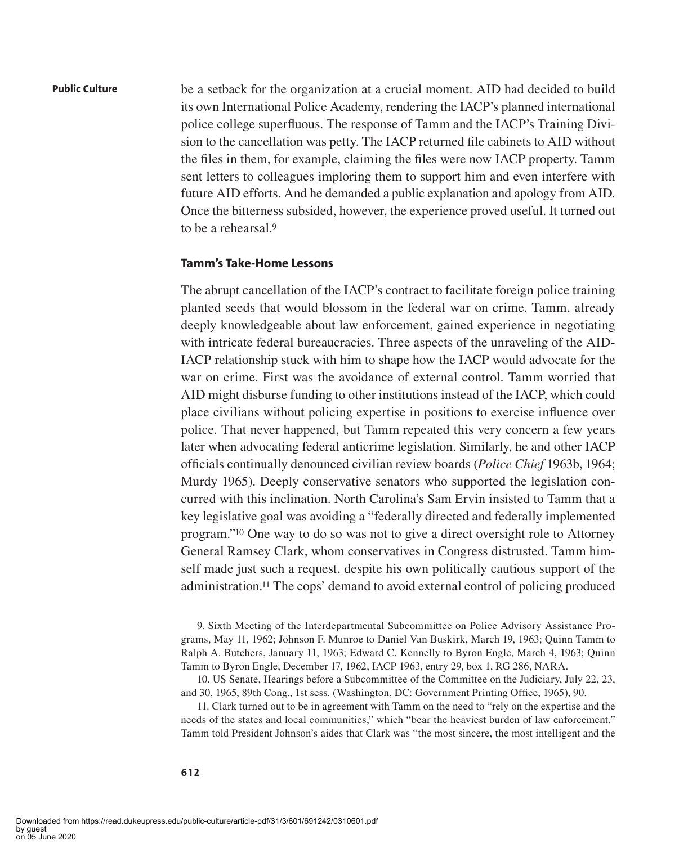be a setback for the organization at a crucial moment. AID had decided to build its own International Police Academy, rendering the IACP's planned international police college superfluous. The response of Tamm and the IACP's Training Division to the cancellation was petty. The IACP returned file cabinets to AID without the files in them, for example, claiming the files were now IACP property. Tamm sent letters to colleagues imploring them to support him and even interfere with future AID efforts. And he demanded a public explanation and apology from AID. Once the bitterness subsided, however, the experience proved useful. It turned out to be a rehearsal.9

## **Tamm's Take-Home Lessons**

The abrupt cancellation of the IACP's contract to facilitate foreign police training planted seeds that would blossom in the federal war on crime. Tamm, already deeply knowledgeable about law enforcement, gained experience in negotiating with intricate federal bureaucracies. Three aspects of the unraveling of the AID-IACP relationship stuck with him to shape how the IACP would advocate for the war on crime. First was the avoidance of external control. Tamm worried that AID might disburse funding to other institutions instead of the IACP, which could place civilians without policing expertise in positions to exercise influence over police. That never happened, but Tamm repeated this very concern a few years later when advocating federal anticrime legislation. Similarly, he and other IACP officials continually denounced civilian review boards (*Police Chief* 1963b, 1964; Murdy 1965). Deeply conservative senators who supported the legislation concurred with this inclination. North Carolina's Sam Ervin insisted to Tamm that a key legislative goal was avoiding a "federally directed and federally implemented program."10 One way to do so was not to give a direct oversight role to Attorney General Ramsey Clark, whom conservatives in Congress distrusted. Tamm himself made just such a request, despite his own politically cautious support of the administration.11 The cops' demand to avoid external control of policing produced

9. Sixth Meeting of the Interdepartmental Subcommittee on Police Advisory Assistance Programs, May 11, 1962; Johnson F. Munroe to Daniel Van Buskirk, March 19, 1963; Quinn Tamm to Ralph A. Butchers, January 11, 1963; Edward C. Kennelly to Byron Engle, March 4, 1963; Quinn Tamm to Byron Engle, December 17, 1962, IACP 1963, entry 29, box 1, RG 286, NARA.

10. US Senate, Hearings before a Subcommittee of the Committee on the Judiciary, July 22, 23, and 30, 1965, 89th Cong., 1st sess. (Washington, DC: Government Printing Office, 1965), 90.

11. Clark turned out to be in agreement with Tamm on the need to "rely on the expertise and the needs of the states and local communities," which "bear the heaviest burden of law enforcement." Tamm told President Johnson's aides that Clark was "the most sincere, the most intelligent and the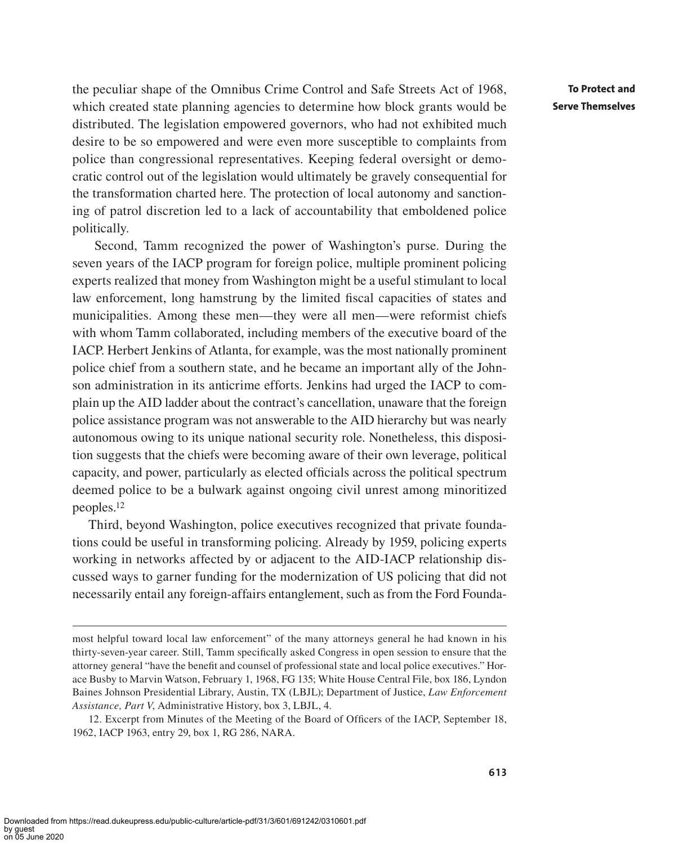the peculiar shape of the Omnibus Crime Control and Safe Streets Act of 1968, which created state planning agencies to determine how block grants would be distributed. The legislation empowered governors, who had not exhibited much desire to be so empowered and were even more susceptible to complaints from police than congressional representatives. Keeping federal oversight or democratic control out of the legislation would ultimately be gravely consequential for the transformation charted here. The protection of local autonomy and sanctioning of patrol discretion led to a lack of accountability that emboldened police politically.

 Second, Tamm recognized the power of Washington's purse. During the seven years of the IACP program for foreign police, multiple prominent policing experts realized that money from Washington might be a useful stimulant to local law enforcement, long hamstrung by the limited fiscal capacities of states and municipalities. Among these men—they were all men—were reformist chiefs with whom Tamm collaborated, including members of the executive board of the IACP. Herbert Jenkins of Atlanta, for example, was the most nationally prominent police chief from a southern state, and he became an important ally of the Johnson administration in its anticrime efforts. Jenkins had urged the IACP to complain up the AID ladder about the contract's cancellation, unaware that the foreign police assistance program was not answerable to the AID hierarchy but was nearly autonomous owing to its unique national security role. Nonetheless, this disposition suggests that the chiefs were becoming aware of their own leverage, political capacity, and power, particularly as elected officials across the political spectrum deemed police to be a bulwark against ongoing civil unrest among minoritized peoples.12

Third, beyond Washington, police executives recognized that private foundations could be useful in transforming policing. Already by 1959, policing experts working in networks affected by or adjacent to the AID-IACP relationship discussed ways to garner funding for the modernization of US policing that did not necessarily entail any foreign-affairs entanglement, such as from the Ford Founda-

most helpful toward local law enforcement" of the many attorneys general he had known in his thirty-seven-year career. Still, Tamm specifically asked Congress in open session to ensure that the attorney general "have the benefit and counsel of professional state and local police executives." Horace Busby to Marvin Watson, February 1, 1968, FG 135; White House Central File, box 186, Lyndon Baines Johnson Presidential Library, Austin, TX (LBJL); Department of Justice, *Law Enforcement Assistance, Part V*, Administrative History, box 3, LBJL, 4.

<sup>12.</sup> Excerpt from Minutes of the Meeting of the Board of Officers of the IACP, September 18, 1962, IACP 1963, entry 29, box 1, RG 286, NARA.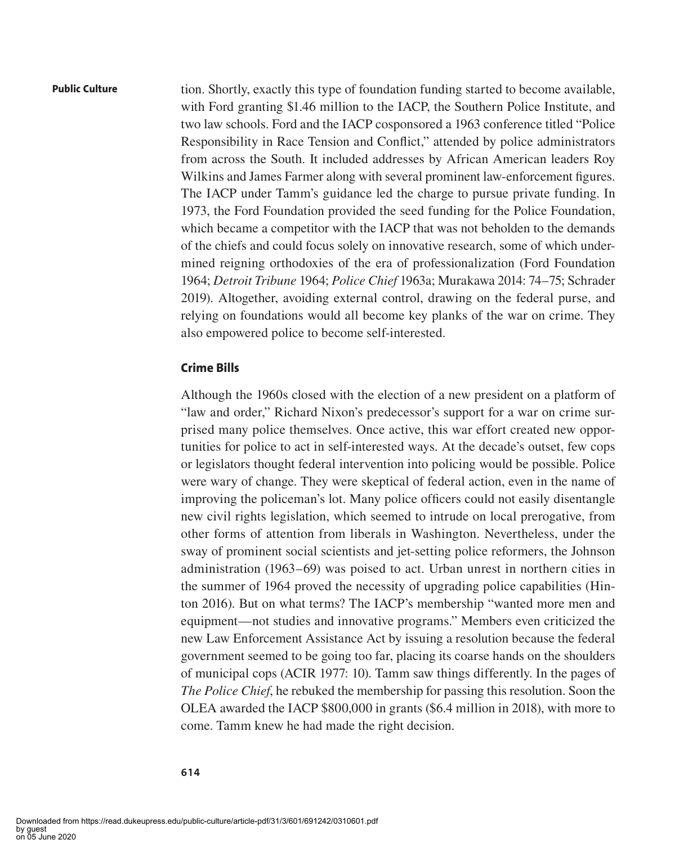tion. Shortly, exactly this type of foundation funding started to become available, with Ford granting \$1.46 million to the IACP, the Southern Police Institute, and two law schools. Ford and the IACP cosponsored a 1963 conference titled "Police Responsibility in Race Tension and Conflict," attended by police administrators from across the South. It included addresses by African American leaders Roy Wilkins and James Farmer along with several prominent law-enforcement figures. The IACP under Tamm's guidance led the charge to pursue private funding. In 1973, the Ford Foundation provided the seed funding for the Police Foundation, which became a competitor with the IACP that was not beholden to the demands of the chiefs and could focus solely on innovative research, some of which undermined reigning orthodoxies of the era of professionalization (Ford Foundation 1964; *Detroit Tribune* 1964; *Police Chief* 1963a; Murakawa 2014: 74–75; Schrader 2019). Altogether, avoiding external control, drawing on the federal purse, and relying on foundations would all become key planks of the war on crime. They also empowered police to become self-interested.

### **Crime Bills**

Although the 1960s closed with the election of a new president on a platform of "law and order," Richard Nixon's predecessor's support for a war on crime surprised many police themselves. Once active, this war effort created new opportunities for police to act in self-interested ways. At the decade's outset, few cops or legislators thought federal intervention into policing would be possible. Police were wary of change. They were skeptical of federal action, even in the name of improving the policeman's lot. Many police officers could not easily disentangle new civil rights legislation, which seemed to intrude on local prerogative, from other forms of attention from liberals in Washington. Nevertheless, under the sway of prominent social scientists and jet-setting police reformers, the Johnson administration (1963–69) was poised to act. Urban unrest in northern cities in the summer of 1964 proved the necessity of upgrading police capabilities (Hinton 2016). But on what terms? The IACP's membership "wanted more men and equipment—not studies and innovative programs." Members even criticized the new Law Enforcement Assistance Act by issuing a resolution because the federal government seemed to be going too far, placing its coarse hands on the shoulders of municipal cops (ACIR 1977: 10). Tamm saw things differently. In the pages of *The Police Chief*, he rebuked the membership for passing this resolution. Soon the OLEA awarded the IACP \$800,000 in grants (\$6.4 million in 2018), with more to come. Tamm knew he had made the right decision.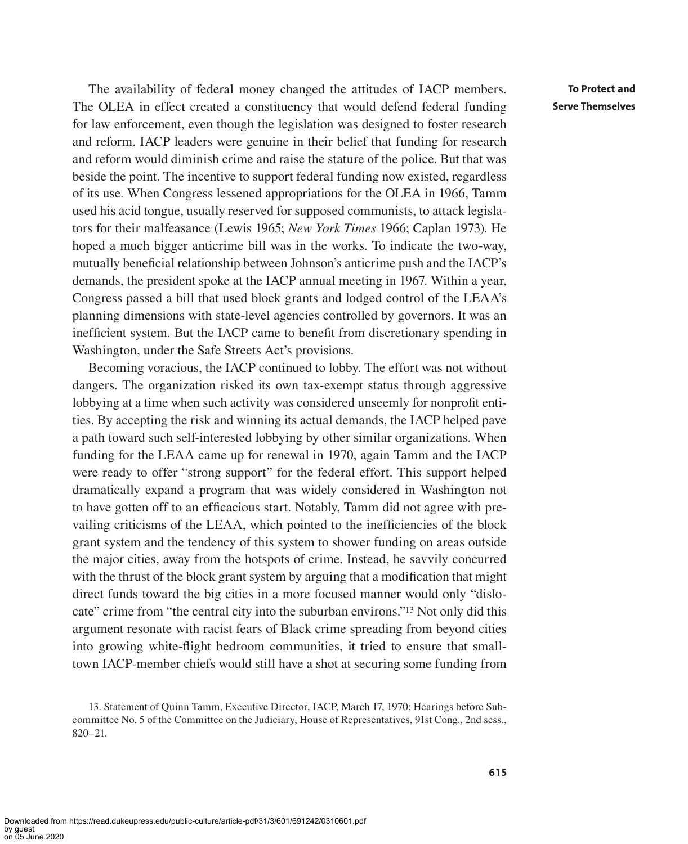The availability of federal money changed the attitudes of IACP members. The OLEA in effect created a constituency that would defend federal funding for law enforcement, even though the legislation was designed to foster research and reform. IACP leaders were genuine in their belief that funding for research and reform would diminish crime and raise the stature of the police. But that was beside the point. The incentive to support federal funding now existed, regardless of its use. When Congress lessened appropriations for the OLEA in 1966, Tamm used his acid tongue, usually reserved for supposed communists, to attack legislators for their malfeasance (Lewis 1965; *New York Times* 1966; Caplan 1973). He hoped a much bigger anticrime bill was in the works. To indicate the two-way, mutually beneficial relationship between Johnson's anticrime push and the IACP's demands, the president spoke at the IACP annual meeting in 1967. Within a year, Congress passed a bill that used block grants and lodged control of the LEAA's planning dimensions with state-level agencies controlled by governors. It was an inefficient system. But the IACP came to benefit from discretionary spending in Washington, under the Safe Streets Act's provisions.

Becoming voracious, the IACP continued to lobby. The effort was not without dangers. The organization risked its own tax-exempt status through aggressive lobbying at a time when such activity was considered unseemly for nonprofit entities. By accepting the risk and winning its actual demands, the IACP helped pave a path toward such self-interested lobbying by other similar organizations. When funding for the LEAA came up for renewal in 1970, again Tamm and the IACP were ready to offer "strong support" for the federal effort. This support helped dramatically expand a program that was widely considered in Washington not to have gotten off to an efficacious start. Notably, Tamm did not agree with prevailing criticisms of the LEAA, which pointed to the inefficiencies of the block grant system and the tendency of this system to shower funding on areas outside the major cities, away from the hotspots of crime. Instead, he savvily concurred with the thrust of the block grant system by arguing that a modification that might direct funds toward the big cities in a more focused manner would only "dislocate" crime from "the central city into the suburban environs."13 Not only did this argument resonate with racist fears of Black crime spreading from beyond cities into growing white-flight bedroom communities, it tried to ensure that smalltown IACP-member chiefs would still have a shot at securing some funding from

<sup>13.</sup> Statement of Quinn Tamm, Executive Director, IACP, March 17, 1970; Hearings before Subcommittee No. 5 of the Committee on the Judiciary, House of Representatives, 91st Cong., 2nd sess., 820–21.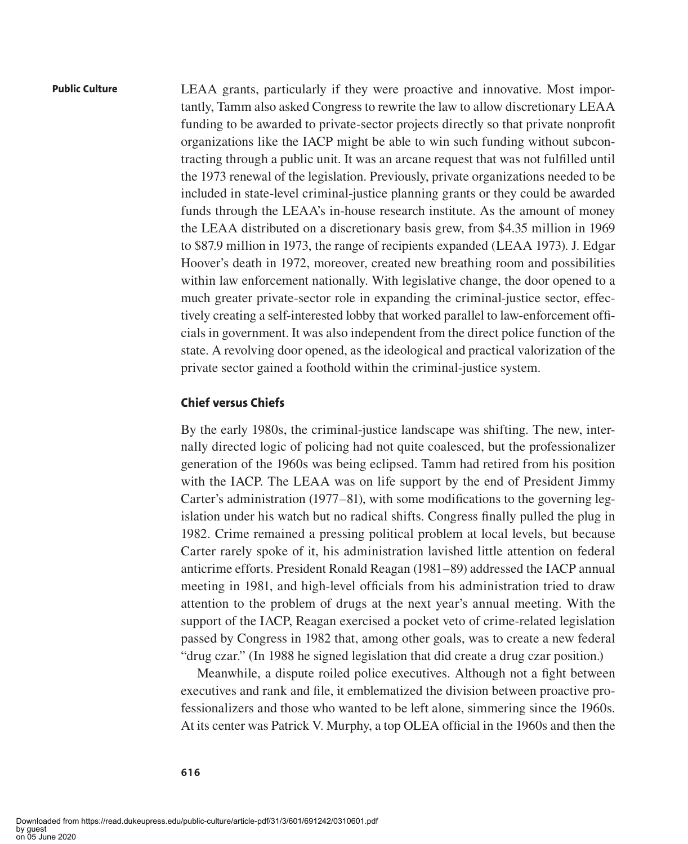LEAA grants, particularly if they were proactive and innovative. Most importantly, Tamm also asked Congress to rewrite the law to allow discretionary LEAA funding to be awarded to private-sector projects directly so that private nonprofit organizations like the IACP might be able to win such funding without subcontracting through a public unit. It was an arcane request that was not fulfilled until the 1973 renewal of the legislation. Previously, private organizations needed to be included in state-level criminal-justice planning grants or they could be awarded funds through the LEAA's in-house research institute. As the amount of money the LEAA distributed on a discretionary basis grew, from \$4.35 million in 1969 to \$87.9 million in 1973, the range of recipients expanded (LEAA 1973). J. Edgar Hoover's death in 1972, moreover, created new breathing room and possibilities within law enforcement nationally. With legislative change, the door opened to a much greater private-sector role in expanding the criminal-justice sector, effectively creating a self-interested lobby that worked parallel to law-enforcement officials in government. It was also independent from the direct police function of the state. A revolving door opened, as the ideological and practical valorization of the private sector gained a foothold within the criminal-justice system.

#### **Chief versus Chiefs**

By the early 1980s, the criminal-justice landscape was shifting. The new, internally directed logic of policing had not quite coalesced, but the professionalizer generation of the 1960s was being eclipsed. Tamm had retired from his position with the IACP. The LEAA was on life support by the end of President Jimmy Carter's administration (1977–81), with some modifications to the governing legislation under his watch but no radical shifts. Congress finally pulled the plug in 1982. Crime remained a pressing political problem at local levels, but because Carter rarely spoke of it, his administration lavished little attention on federal anticrime efforts. President Ronald Reagan (1981–89) addressed the IACP annual meeting in 1981, and high-level officials from his administration tried to draw attention to the problem of drugs at the next year's annual meeting. With the support of the IACP, Reagan exercised a pocket veto of crime-related legislation passed by Congress in 1982 that, among other goals, was to create a new federal "drug czar." (In 1988 he signed legislation that did create a drug czar position.)

Meanwhile, a dispute roiled police executives. Although not a fight between executives and rank and file, it emblematized the division between proactive professionalizers and those who wanted to be left alone, simmering since the 1960s. At its center was Patrick V. Murphy, a top OLEA official in the 1960s and then the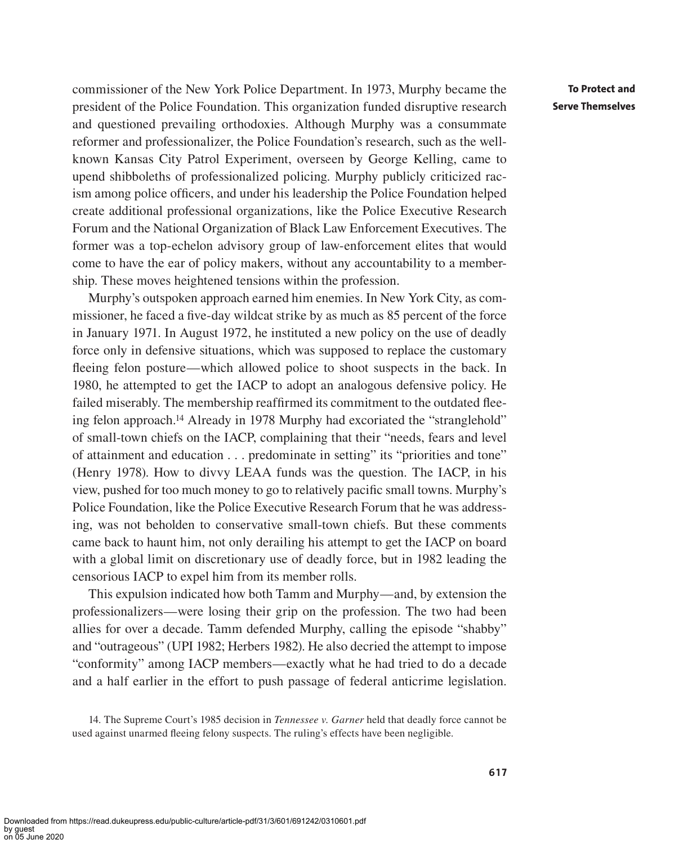commissioner of the New York Police Department. In 1973, Murphy became the president of the Police Foundation. This organization funded disruptive research and questioned prevailing orthodoxies. Although Murphy was a consummate reformer and professionalizer, the Police Foundation's research, such as the wellknown Kansas City Patrol Experiment, overseen by George Kelling, came to upend shibboleths of professionalized policing. Murphy publicly criticized racism among police officers, and under his leadership the Police Foundation helped create additional professional organizations, like the Police Executive Research Forum and the National Organization of Black Law Enforcement Executives. The former was a top-echelon advisory group of law-enforcement elites that would come to have the ear of policy makers, without any accountability to a membership. These moves heightened tensions within the profession.

Murphy's outspoken approach earned him enemies. In New York City, as commissioner, he faced a five-day wildcat strike by as much as 85 percent of the force in January 1971. In August 1972, he instituted a new policy on the use of deadly force only in defensive situations, which was supposed to replace the customary fleeing felon posture—which allowed police to shoot suspects in the back. In 1980, he attempted to get the IACP to adopt an analogous defensive policy. He failed miserably. The membership reaffirmed its commitment to the outdated fleeing felon approach.14 Already in 1978 Murphy had excoriated the "stranglehold" of small-town chiefs on the IACP, complaining that their "needs, fears and level of attainment and education . . . predominate in setting" its "priorities and tone" (Henry 1978). How to divvy LEAA funds was the question. The IACP, in his view, pushed for too much money to go to relatively pacific small towns. Murphy's Police Foundation, like the Police Executive Research Forum that he was addressing, was not beholden to conservative small-town chiefs. But these comments came back to haunt him, not only derailing his attempt to get the IACP on board with a global limit on discretionary use of deadly force, but in 1982 leading the censorious IACP to expel him from its member rolls.

This expulsion indicated how both Tamm and Murphy—and, by extension the professionalizers—were losing their grip on the profession. The two had been allies for over a decade. Tamm defended Murphy, calling the episode "shabby" and "outrageous" (UPI 1982; Herbers 1982). He also decried the attempt to impose "conformity" among IACP members—exactly what he had tried to do a decade and a half earlier in the effort to push passage of federal anticrime legislation.

<sup>14.</sup> The Supreme Court's 1985 decision in *Tennessee v. Garner* held that deadly force cannot be used against unarmed fleeing felony suspects. The ruling's effects have been negligible.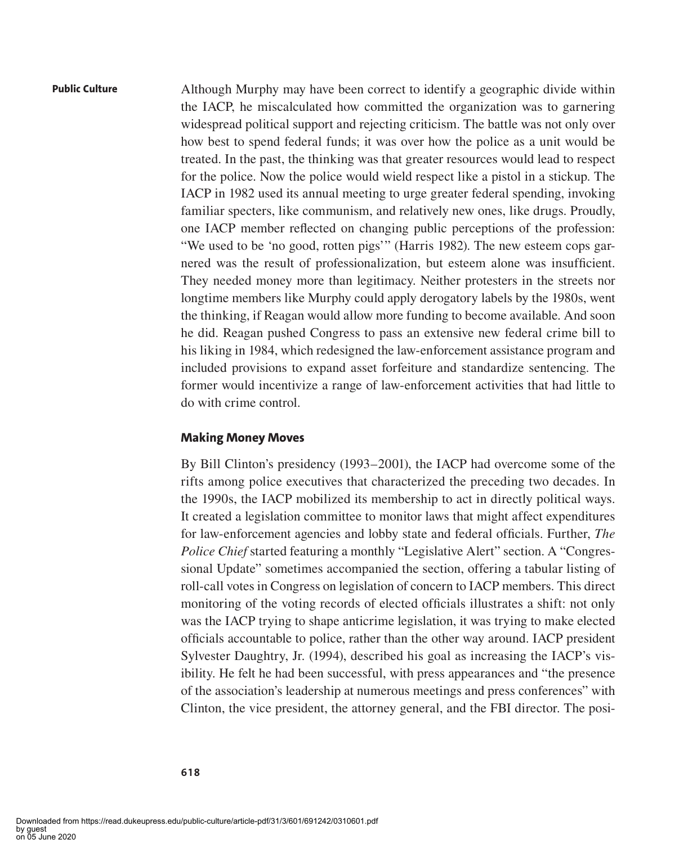Although Murphy may have been correct to identify a geographic divide within the IACP, he miscalculated how committed the organization was to garnering widespread political support and rejecting criticism. The battle was not only over how best to spend federal funds; it was over how the police as a unit would be treated. In the past, the thinking was that greater resources would lead to respect for the police. Now the police would wield respect like a pistol in a stickup. The IACP in 1982 used its annual meeting to urge greater federal spending, invoking familiar specters, like communism, and relatively new ones, like drugs. Proudly, one IACP member reflected on changing public perceptions of the profession: "We used to be 'no good, rotten pigs'" (Harris 1982). The new esteem cops garnered was the result of professionalization, but esteem alone was insufficient. They needed money more than legitimacy. Neither protesters in the streets nor longtime members like Murphy could apply derogatory labels by the 1980s, went the thinking, if Reagan would allow more funding to become available. And soon he did. Reagan pushed Congress to pass an extensive new federal crime bill to his liking in 1984, which redesigned the law-enforcement assistance program and included provisions to expand asset forfeiture and standardize sentencing. The former would incentivize a range of law-enforcement activities that had little to do with crime control.

#### **Making Money Moves**

By Bill Clinton's presidency (1993–2001), the IACP had overcome some of the rifts among police executives that characterized the preceding two decades. In the 1990s, the IACP mobilized its membership to act in directly political ways. It created a legislation committee to monitor laws that might affect expenditures for law-enforcement agencies and lobby state and federal officials. Further, *The Police Chief* started featuring a monthly "Legislative Alert" section. A "Congressional Update" sometimes accompanied the section, offering a tabular listing of roll-call votes in Congress on legislation of concern to IACP members. This direct monitoring of the voting records of elected officials illustrates a shift: not only was the IACP trying to shape anticrime legislation, it was trying to make elected officials accountable to police, rather than the other way around. IACP president Sylvester Daughtry, Jr. (1994), described his goal as increasing the IACP's visibility. He felt he had been successful, with press appearances and "the presence of the association's leadership at numerous meetings and press conferences" with Clinton, the vice president, the attorney general, and the FBI director. The posi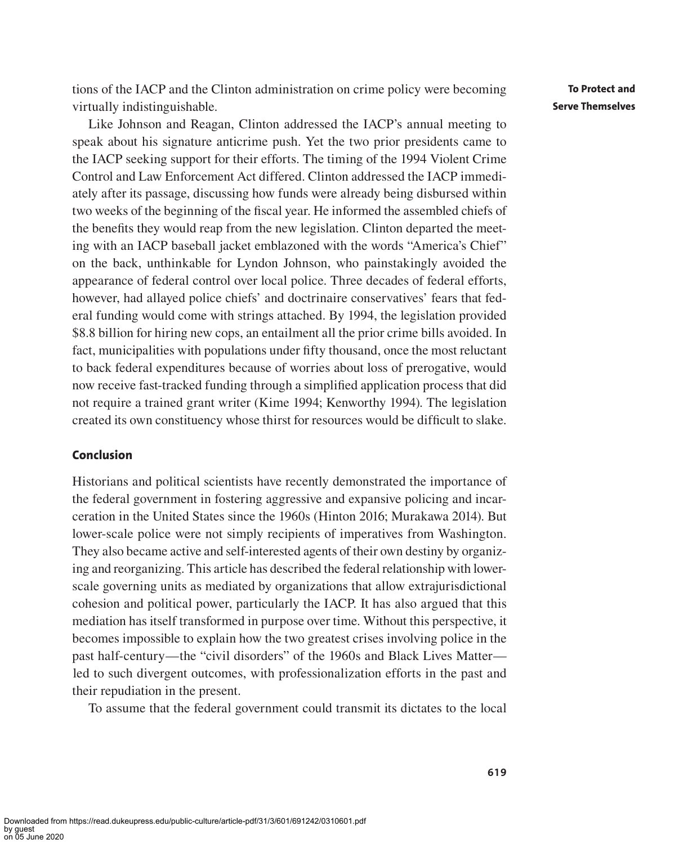tions of the IACP and the Clinton administration on crime policy were becoming virtually indistinguishable.

Like Johnson and Reagan, Clinton addressed the IACP's annual meeting to speak about his signature anticrime push. Yet the two prior presidents came to the IACP seeking support for their efforts. The timing of the 1994 Violent Crime Control and Law Enforcement Act differed. Clinton addressed the IACP immediately after its passage, discussing how funds were already being disbursed within two weeks of the beginning of the fiscal year. He informed the assembled chiefs of the benefits they would reap from the new legislation. Clinton departed the meeting with an IACP baseball jacket emblazoned with the words "America's Chief" on the back, unthinkable for Lyndon Johnson, who painstakingly avoided the appearance of federal control over local police. Three decades of federal efforts, however, had allayed police chiefs' and doctrinaire conservatives' fears that federal funding would come with strings attached. By 1994, the legislation provided \$8.8 billion for hiring new cops, an entailment all the prior crime bills avoided. In fact, municipalities with populations under fifty thousand, once the most reluctant to back federal expenditures because of worries about loss of prerogative, would now receive fast-tracked funding through a simplified application process that did not require a trained grant writer (Kime 1994; Kenworthy 1994). The legislation created its own constituency whose thirst for resources would be difficult to slake.

## **Conclusion**

Historians and political scientists have recently demonstrated the importance of the federal government in fostering aggressive and expansive policing and incarceration in the United States since the 1960s (Hinton 2016; Murakawa 2014). But lower-scale police were not simply recipients of imperatives from Washington. They also became active and self-interested agents of their own destiny by organizing and reorganizing. This article has described the federal relationship with lowerscale governing units as mediated by organizations that allow extrajurisdictional cohesion and political power, particularly the IACP. It has also argued that this mediation has itself transformed in purpose over time. Without this perspective, it becomes impossible to explain how the two greatest crises involving police in the past half-century—the "civil disorders" of the 1960s and Black Lives Matter led to such divergent outcomes, with professionalization efforts in the past and their repudiation in the present.

To assume that the federal government could transmit its dictates to the local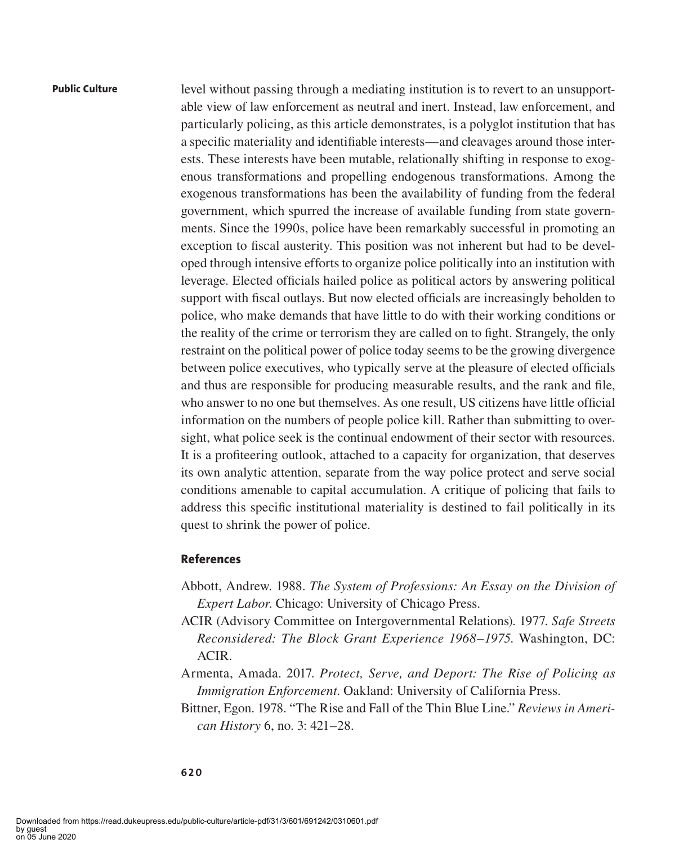level without passing through a mediating institution is to revert to an unsupportable view of law enforcement as neutral and inert. Instead, law enforcement, and particularly policing, as this article demonstrates, is a polyglot institution that has a specific materiality and identifiable interests—and cleavages around those interests. These interests have been mutable, relationally shifting in response to exogenous transformations and propelling endogenous transformations. Among the exogenous transformations has been the availability of funding from the federal government, which spurred the increase of available funding from state governments. Since the 1990s, police have been remarkably successful in promoting an exception to fiscal austerity. This position was not inherent but had to be developed through intensive efforts to organize police politically into an institution with leverage. Elected officials hailed police as political actors by answering political support with fiscal outlays. But now elected officials are increasingly beholden to police, who make demands that have little to do with their working conditions or the reality of the crime or terrorism they are called on to fight. Strangely, the only restraint on the political power of police today seems to be the growing divergence between police executives, who typically serve at the pleasure of elected officials and thus are responsible for producing measurable results, and the rank and file, who answer to no one but themselves. As one result, US citizens have little official information on the numbers of people police kill. Rather than submitting to oversight, what police seek is the continual endowment of their sector with resources. It is a profiteering outlook, attached to a capacity for organization, that deserves its own analytic attention, separate from the way police protect and serve social conditions amenable to capital accumulation. A critique of policing that fails to address this specific institutional materiality is destined to fail politically in its quest to shrink the power of police.

### **References**

- Abbott, Andrew. 1988. *The System of Professions: An Essay on the Division of Expert Labor*. Chicago: University of Chicago Press.
- ACIR (Advisory Committee on Intergovernmental Relations). 1977. *Safe Streets Reconsidered: The Block Grant Experience 1968–1975*. Washington, DC: ACIR.
- Armenta, Amada. 2017. *Protect, Serve, and Deport: The Rise of Policing as Immigration Enforcement*. Oakland: University of California Press.
- Bittner, Egon. 1978. "The Rise and Fall of the Thin Blue Line." *Reviews in American History* 6, no. 3: 421–28.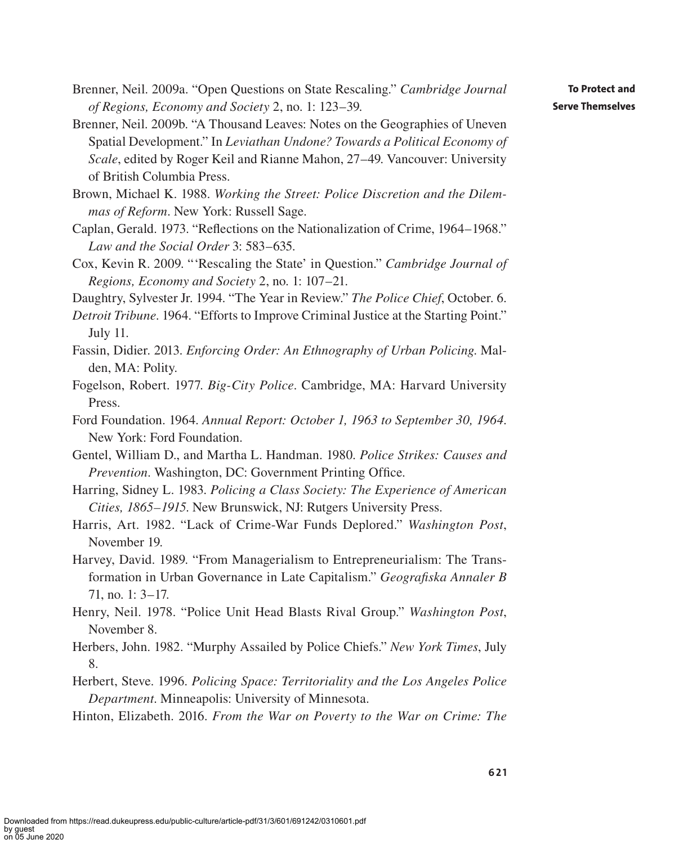- Brenner, Neil. 2009a. "Open Questions on State Rescaling." *Cambridge Journal of Regions, Economy and Society* 2, no. 1: 123–39.
- Brenner, Neil. 2009b. "A Thousand Leaves: Notes on the Geographies of Uneven Spatial Development." In *Leviathan Undone? Towards a Political Economy of Scale*, edited by Roger Keil and Rianne Mahon, 27–49. Vancouver: University of British Columbia Press.
- Brown, Michael K. 1988. *Working the Street: Police Discretion and the Dilemmas of Reform*. New York: Russell Sage.
- Caplan, Gerald. 1973. "Reflections on the Nationalization of Crime, 1964–1968." *Law and the Social Order* 3: 583–635.
- Cox, Kevin R. 2009. "'Rescaling the State' in Question." *Cambridge Journal of Regions, Economy and Society* 2, no. 1: 107–21.
- Daughtry, Sylvester Jr. 1994. "The Year in Review." *The Police Chief*, October. 6.
- *Detroit Tribune*. 1964. "Efforts to Improve Criminal Justice at the Starting Point." July 11.
- Fassin, Didier. 2013. *Enforcing Order: An Ethnography of Urban Policing*. Malden, MA: Polity.
- Fogelson, Robert. 1977. *Big-City Police*. Cambridge, MA: Harvard University Press.
- Ford Foundation. 1964. *Annual Report: October 1, 1963 to September 30, 1964*. New York: Ford Foundation.
- Gentel, William D., and Martha L. Handman. 1980. *Police Strikes: Causes and Prevention*. Washington, DC: Government Printing Office.
- Harring, Sidney L. 1983. *Policing a Class Society: The Experience of American Cities, 1865–1915*. New Brunswick, NJ: Rutgers University Press.
- Harris, Art. 1982. "Lack of Crime-War Funds Deplored." *Washington Post*, November 19.
- Harvey, David. 1989. "From Managerialism to Entrepreneurialism: The Transformation in Urban Governance in Late Capitalism." *Geografiska Annaler B* 71, no. 1: 3–17.
- Henry, Neil. 1978. "Police Unit Head Blasts Rival Group." *Washington Post*, November 8.
- Herbers, John. 1982. "Murphy Assailed by Police Chiefs." *New York Times*, July 8.
- Herbert, Steve. 1996. *Policing Space: Territoriality and the Los Angeles Police Department*. Minneapolis: University of Minnesota.
- Hinton, Elizabeth. 2016. *From the War on Poverty to the War on Crime: The*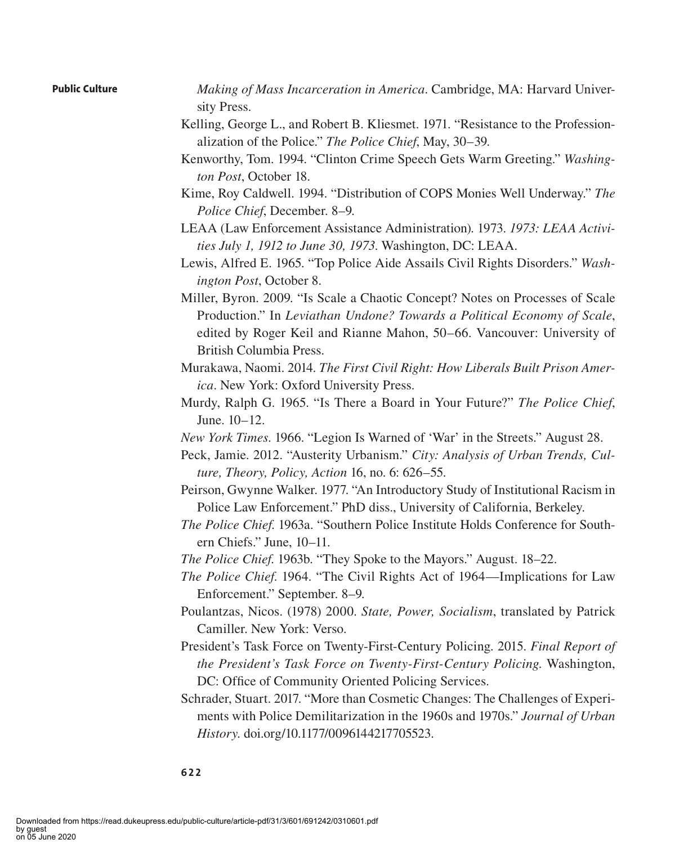- *Making of Mass Incarceration in America*. Cambridge, MA: Harvard University Press.
- Kelling, George L., and Robert B. Kliesmet. 1971. "Resistance to the Professionalization of the Police." *The Police Chief*, May, 30–39.
- Kenworthy, Tom. 1994. "Clinton Crime Speech Gets Warm Greeting." *Washington Post*, October 18.
- Kime, Roy Caldwell. 1994. "Distribution of COPS Monies Well Underway." *The Police Chief*, December. 8–9.
- LEAA (Law Enforcement Assistance Administration). 1973. *1973: LEAA Activities July 1, 1912 to June 30, 1973*. Washington, DC: LEAA.
- Lewis, Alfred E. 1965. "Top Police Aide Assails Civil Rights Disorders." *Washington Post*, October 8.
- Miller, Byron. 2009. "Is Scale a Chaotic Concept? Notes on Processes of Scale Production." In *Leviathan Undone? Towards a Political Economy of Scale*, edited by Roger Keil and Rianne Mahon, 50–66. Vancouver: University of British Columbia Press.
- Murakawa, Naomi. 2014. *The First Civil Right: How Liberals Built Prison America*. New York: Oxford University Press.
- Murdy, Ralph G. 1965. "Is There a Board in Your Future?" *The Police Chief*, June. 10–12.
- *New York Times*. 1966. "Legion Is Warned of 'War' in the Streets." August 28.
- Peck, Jamie. 2012. "Austerity Urbanism." *City: Analysis of Urban Trends, Culture, Theory, Policy, Action* 16, no. 6: 626–55.
- Peirson, Gwynne Walker. 1977. "An Introductory Study of Institutional Racism in Police Law Enforcement." PhD diss., University of California, Berkeley.
- *The Police Chief*. 1963a. "Southern Police Institute Holds Conference for Southern Chiefs." June, 10–11.
- *The Police Chief*. 1963b. "They Spoke to the Mayors." August. 18–22.
- *The Police Chief*. 1964. "The Civil Rights Act of 1964—Implications for Law Enforcement." September. 8–9.
- Poulantzas, Nicos. (1978) 2000. *State, Power, Socialism*, translated by Patrick Camiller. New York: Verso.
- President's Task Force on Twenty-First-Century Policing. 2015. *Final Report of the President's Task Force on Twenty-First-Century Policing*. Washington, DC: Office of Community Oriented Policing Services.
- Schrader, Stuart. 2017. "More than Cosmetic Changes: The Challenges of Experiments with Police Demilitarization in the 1960s and 1970s." *Journal of Urban History*. doi.org/10.1177/0096144217705523.